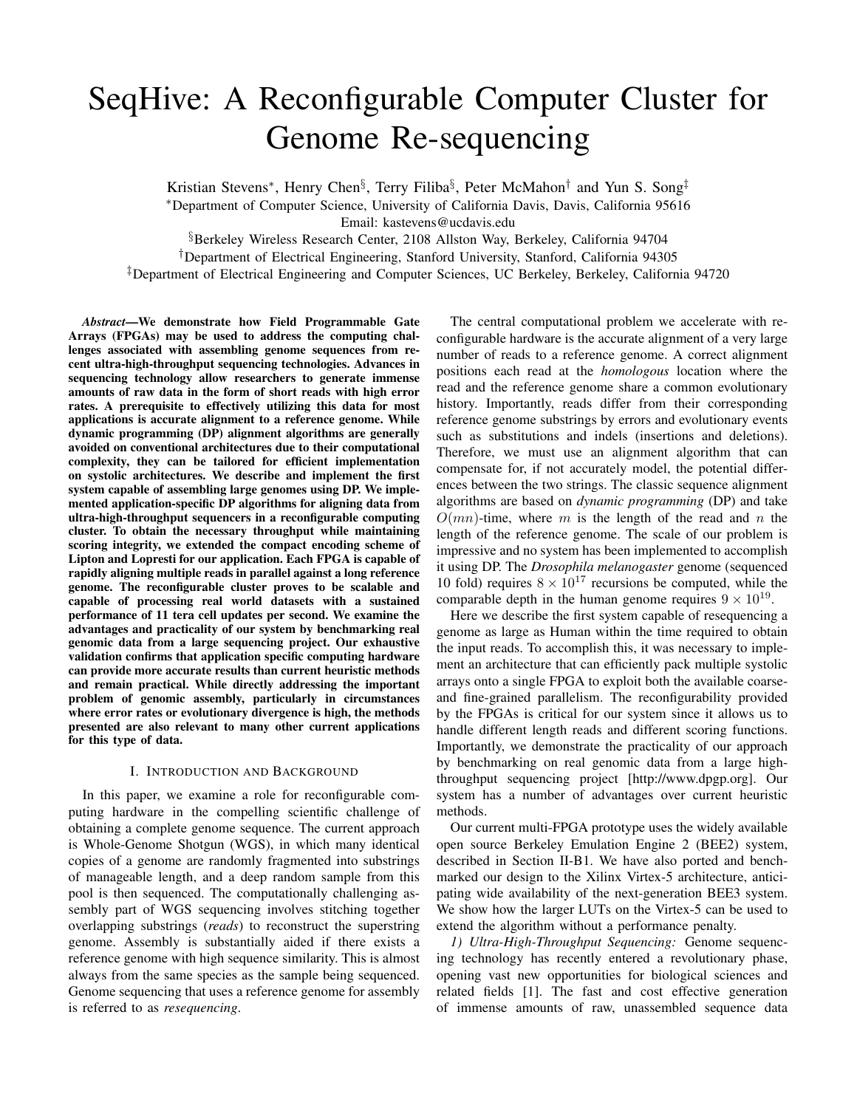# SeqHive: A Reconfigurable Computer Cluster for Genome Re-sequencing

Kristian Stevens<sup>∗</sup>, Henry Chen<sup>§</sup>, Terry Filiba<sup>§</sup>, Peter McMahon<sup>†</sup> and Yun S. Song<sup>‡</sup> <sup>∗</sup>Department of Computer Science, University of California Davis, Davis, California 95616

Email: kastevens@ucdavis.edu

§Berkeley Wireless Research Center, 2108 Allston Way, Berkeley, California 94704

†Department of Electrical Engineering, Stanford University, Stanford, California 94305

‡Department of Electrical Engineering and Computer Sciences, UC Berkeley, Berkeley, California 94720

*Abstract*—We demonstrate how Field Programmable Gate Arrays (FPGAs) may be used to address the computing challenges associated with assembling genome sequences from recent ultra-high-throughput sequencing technologies. Advances in sequencing technology allow researchers to generate immense amounts of raw data in the form of short reads with high error rates. A prerequisite to effectively utilizing this data for most applications is accurate alignment to a reference genome. While dynamic programming (DP) alignment algorithms are generally avoided on conventional architectures due to their computational complexity, they can be tailored for efficient implementation on systolic architectures. We describe and implement the first system capable of assembling large genomes using DP. We implemented application-specific DP algorithms for aligning data from ultra-high-throughput sequencers in a reconfigurable computing cluster. To obtain the necessary throughput while maintaining scoring integrity, we extended the compact encoding scheme of Lipton and Lopresti for our application. Each FPGA is capable of rapidly aligning multiple reads in parallel against a long reference genome. The reconfigurable cluster proves to be scalable and capable of processing real world datasets with a sustained performance of 11 tera cell updates per second. We examine the advantages and practicality of our system by benchmarking real genomic data from a large sequencing project. Our exhaustive validation confirms that application specific computing hardware can provide more accurate results than current heuristic methods and remain practical. While directly addressing the important problem of genomic assembly, particularly in circumstances where error rates or evolutionary divergence is high, the methods presented are also relevant to many other current applications for this type of data.

## I. INTRODUCTION AND BACKGROUND

In this paper, we examine a role for reconfigurable computing hardware in the compelling scientific challenge of obtaining a complete genome sequence. The current approach is Whole-Genome Shotgun (WGS), in which many identical copies of a genome are randomly fragmented into substrings of manageable length, and a deep random sample from this pool is then sequenced. The computationally challenging assembly part of WGS sequencing involves stitching together overlapping substrings (*reads*) to reconstruct the superstring genome. Assembly is substantially aided if there exists a reference genome with high sequence similarity. This is almost always from the same species as the sample being sequenced. Genome sequencing that uses a reference genome for assembly is referred to as *resequencing*.

The central computational problem we accelerate with reconfigurable hardware is the accurate alignment of a very large number of reads to a reference genome. A correct alignment positions each read at the *homologous* location where the read and the reference genome share a common evolutionary history. Importantly, reads differ from their corresponding reference genome substrings by errors and evolutionary events such as substitutions and indels (insertions and deletions). Therefore, we must use an alignment algorithm that can compensate for, if not accurately model, the potential differences between the two strings. The classic sequence alignment algorithms are based on *dynamic programming* (DP) and take  $O(mn)$ -time, where m is the length of the read and n the length of the reference genome. The scale of our problem is impressive and no system has been implemented to accomplish it using DP. The *Drosophila melanogaster* genome (sequenced 10 fold) requires  $8 \times 10^{17}$  recursions be computed, while the comparable depth in the human genome requires  $9 \times 10^{19}$ .

Here we describe the first system capable of resequencing a genome as large as Human within the time required to obtain the input reads. To accomplish this, it was necessary to implement an architecture that can efficiently pack multiple systolic arrays onto a single FPGA to exploit both the available coarseand fine-grained parallelism. The reconfigurability provided by the FPGAs is critical for our system since it allows us to handle different length reads and different scoring functions. Importantly, we demonstrate the practicality of our approach by benchmarking on real genomic data from a large highthroughput sequencing project [http://www.dpgp.org]. Our system has a number of advantages over current heuristic methods.

Our current multi-FPGA prototype uses the widely available open source Berkeley Emulation Engine 2 (BEE2) system, described in Section II-B1. We have also ported and benchmarked our design to the Xilinx Virtex-5 architecture, anticipating wide availability of the next-generation BEE3 system. We show how the larger LUTs on the Virtex-5 can be used to extend the algorithm without a performance penalty.

*1) Ultra-High-Throughput Sequencing:* Genome sequencing technology has recently entered a revolutionary phase, opening vast new opportunities for biological sciences and related fields [1]. The fast and cost effective generation of immense amounts of raw, unassembled sequence data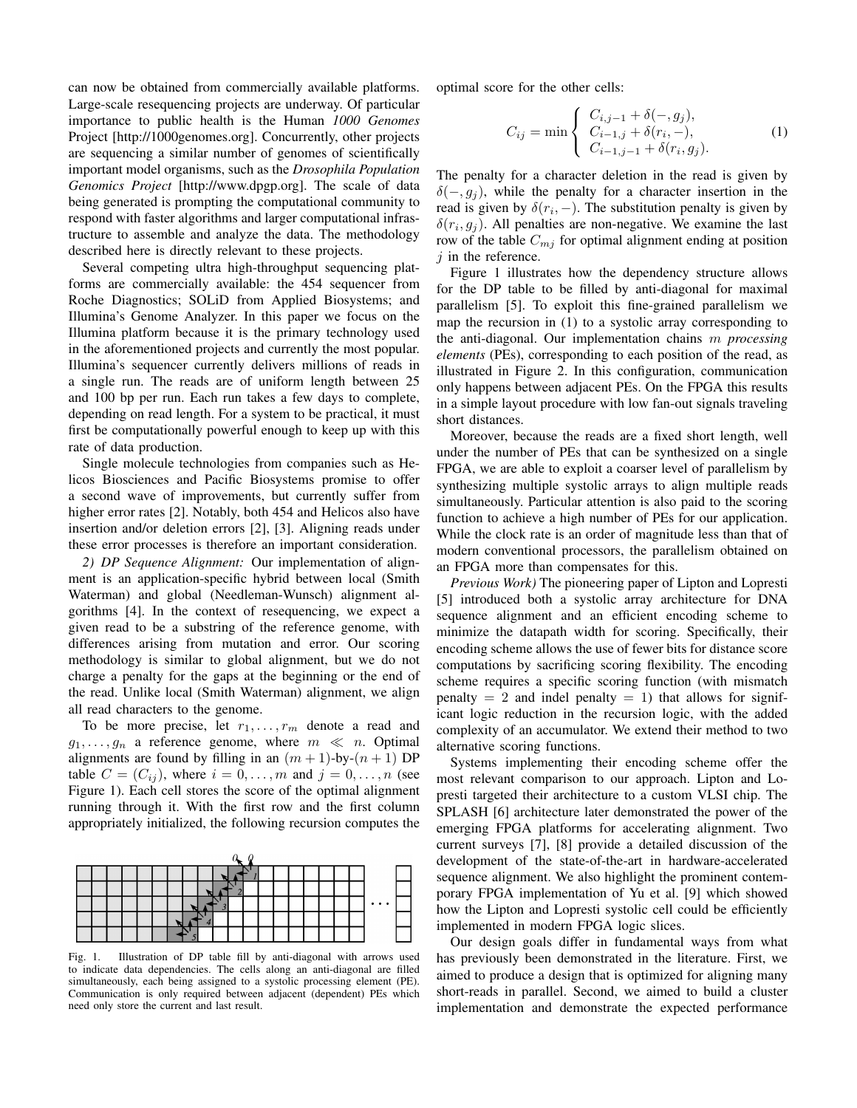can now be obtained from commercially available platforms. Large-scale resequencing projects are underway. Of particular importance to public health is the Human *1000 Genomes* Project [http://1000genomes.org]. Concurrently, other projects are sequencing a similar number of genomes of scientifically important model organisms, such as the *Drosophila Population Genomics Project* [http://www.dpgp.org]. The scale of data being generated is prompting the computational community to respond with faster algorithms and larger computational infrastructure to assemble and analyze the data. The methodology described here is directly relevant to these projects.

Several competing ultra high-throughput sequencing platforms are commercially available: the 454 sequencer from Roche Diagnostics; SOLiD from Applied Biosystems; and Illumina's Genome Analyzer. In this paper we focus on the Illumina platform because it is the primary technology used in the aforementioned projects and currently the most popular. Illumina's sequencer currently delivers millions of reads in a single run. The reads are of uniform length between 25 and 100 bp per run. Each run takes a few days to complete, depending on read length. For a system to be practical, it must first be computationally powerful enough to keep up with this rate of data production.

Single molecule technologies from companies such as Helicos Biosciences and Pacific Biosystems promise to offer a second wave of improvements, but currently suffer from higher error rates [2]. Notably, both 454 and Helicos also have insertion and/or deletion errors [2], [3]. Aligning reads under these error processes is therefore an important consideration.

*2) DP Sequence Alignment:* Our implementation of alignment is an application-specific hybrid between local (Smith Waterman) and global (Needleman-Wunsch) alignment algorithms [4]. In the context of resequencing, we expect a given read to be a substring of the reference genome, with differences arising from mutation and error. Our scoring methodology is similar to global alignment, but we do not charge a penalty for the gaps at the beginning or the end of the read. Unlike local (Smith Waterman) alignment, we align all read characters to the genome.

To be more precise, let  $r_1, \ldots, r_m$  denote a read and  $g_1, \ldots, g_n$  a reference genome, where  $m \ll n$ . Optimal alignments are found by filling in an  $(m + 1)$ -by- $(n + 1)$  DP table  $C = (C_{ij})$ , where  $i = 0, \ldots, m$  and  $j = 0, \ldots, n$  (see Figure 1). Each cell stores the score of the optimal alignment running through it. With the first row and the first column appropriately initialized, the following recursion computes the



Fig. 1. Illustration of DP table fill by anti-diagonal with arrows used to indicate data dependencies. The cells along an anti-diagonal are filled simultaneously, each being assigned to a systolic processing element (PE). Communication is only required between adjacent (dependent) PEs which need only store the current and last result.

optimal score for the other cells:

$$
C_{ij} = \min \begin{cases} C_{i,j-1} + \delta(-, g_j), \\ C_{i-1,j} + \delta(r_i, -), \\ C_{i-1,j-1} + \delta(r_i, g_j). \end{cases}
$$
 (1)

The penalty for a character deletion in the read is given by  $\delta(-, g_i)$ , while the penalty for a character insertion in the read is given by  $\delta(r_i, -)$ . The substitution penalty is given by  $\delta(r_i, g_j)$ . All penalties are non-negative. We examine the last row of the table  $C_{mj}$  for optimal alignment ending at position  $j$  in the reference.

Figure 1 illustrates how the dependency structure allows for the DP table to be filled by anti-diagonal for maximal parallelism [5]. To exploit this fine-grained parallelism we map the recursion in (1) to a systolic array corresponding to the anti-diagonal. Our implementation chains m *processing elements* (PEs), corresponding to each position of the read, as illustrated in Figure 2. In this configuration, communication only happens between adjacent PEs. On the FPGA this results in a simple layout procedure with low fan-out signals traveling short distances.

Moreover, because the reads are a fixed short length, well under the number of PEs that can be synthesized on a single FPGA, we are able to exploit a coarser level of parallelism by synthesizing multiple systolic arrays to align multiple reads simultaneously. Particular attention is also paid to the scoring function to achieve a high number of PEs for our application. While the clock rate is an order of magnitude less than that of modern conventional processors, the parallelism obtained on an FPGA more than compensates for this.

*Previous Work)* The pioneering paper of Lipton and Lopresti [5] introduced both a systolic array architecture for DNA sequence alignment and an efficient encoding scheme to minimize the datapath width for scoring. Specifically, their encoding scheme allows the use of fewer bits for distance score computations by sacrificing scoring flexibility. The encoding scheme requires a specific scoring function (with mismatch penalty  $= 2$  and indel penalty  $= 1$ ) that allows for significant logic reduction in the recursion logic, with the added complexity of an accumulator. We extend their method to two alternative scoring functions.

Systems implementing their encoding scheme offer the most relevant comparison to our approach. Lipton and Lopresti targeted their architecture to a custom VLSI chip. The SPLASH [6] architecture later demonstrated the power of the emerging FPGA platforms for accelerating alignment. Two current surveys [7], [8] provide a detailed discussion of the development of the state-of-the-art in hardware-accelerated sequence alignment. We also highlight the prominent contemporary FPGA implementation of Yu et al. [9] which showed how the Lipton and Lopresti systolic cell could be efficiently implemented in modern FPGA logic slices.

Our design goals differ in fundamental ways from what has previously been demonstrated in the literature. First, we aimed to produce a design that is optimized for aligning many short-reads in parallel. Second, we aimed to build a cluster implementation and demonstrate the expected performance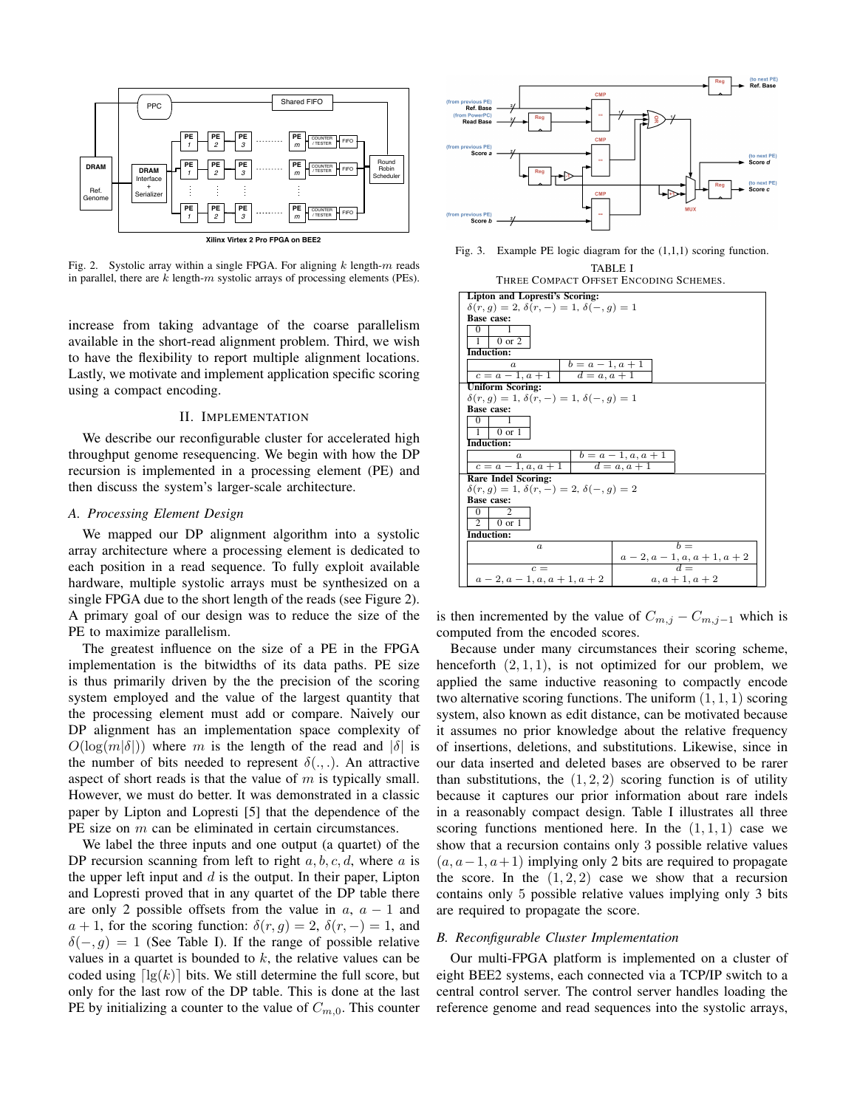

Fig. 2. Systolic array within a single FPGA. For aligning  $k$  length- $m$  reads in parallel, there are  $k$  length- $m$  systolic arrays of processing elements (PEs).

increase from taking advantage of the coarse parallelism available in the short-read alignment problem. Third, we wish to have the flexibility to report multiple alignment locations. Lastly, we motivate and implement application specific scoring using a compact encoding.

## II. IMPLEMENTATION

We describe our reconfigurable cluster for accelerated high throughput genome resequencing. We begin with how the DP recursion is implemented in a processing element (PE) and then discuss the system's larger-scale architecture.

# *A. Processing Element Design*

We mapped our DP alignment algorithm into a systolic array architecture where a processing element is dedicated to each position in a read sequence. To fully exploit available hardware, multiple systolic arrays must be synthesized on a single FPGA due to the short length of the reads (see Figure 2). A primary goal of our design was to reduce the size of the PE to maximize parallelism.

The greatest influence on the size of a PE in the FPGA implementation is the bitwidths of its data paths. PE size is thus primarily driven by the the precision of the scoring system employed and the value of the largest quantity that the processing element must add or compare. Naively our DP alignment has an implementation space complexity of  $O(\log(m|\delta|))$  where m is the length of the read and  $|\delta|$  is the number of bits needed to represent  $\delta(.,.)$ . An attractive aspect of short reads is that the value of  $m$  is typically small. However, we must do better. It was demonstrated in a classic paper by Lipton and Lopresti [5] that the dependence of the PE size on m can be eliminated in certain circumstances.

We label the three inputs and one output (a quartet) of the DP recursion scanning from left to right  $a, b, c, d$ , where  $a$  is the upper left input and  $d$  is the output. In their paper, Lipton and Lopresti proved that in any quartet of the DP table there are only 2 possible offsets from the value in  $a, a - 1$  and  $a + 1$ , for the scoring function:  $\delta(r, q) = 2$ ,  $\delta(r, -) = 1$ , and  $\delta(-, g) = 1$  (See Table I). If the range of possible relative values in a quartet is bounded to  $k$ , the relative values can be coded using  $\lceil \lg(k) \rceil$  bits. We still determine the full score, but only for the last row of the DP table. This is done at the last PE by initializing a counter to the value of  $C_{m,0}$ . This counter



Fig. 3. Example PE logic diagram for the  $(1,1,1)$  scoring function. TABLE I



is then incremented by the value of  $C_{m,j} - C_{m,j-1}$  which is computed from the encoded scores.

Because under many circumstances their scoring scheme, henceforth  $(2, 1, 1)$ , is not optimized for our problem, we applied the same inductive reasoning to compactly encode two alternative scoring functions. The uniform  $(1, 1, 1)$  scoring system, also known as edit distance, can be motivated because it assumes no prior knowledge about the relative frequency of insertions, deletions, and substitutions. Likewise, since in our data inserted and deleted bases are observed to be rarer than substitutions, the  $(1, 2, 2)$  scoring function is of utility because it captures our prior information about rare indels in a reasonably compact design. Table I illustrates all three scoring functions mentioned here. In the  $(1, 1, 1)$  case we show that a recursion contains only 3 possible relative values  $(a, a-1, a+1)$  implying only 2 bits are required to propagate the score. In the  $(1, 2, 2)$  case we show that a recursion contains only 5 possible relative values implying only 3 bits are required to propagate the score.

## *B. Reconfigurable Cluster Implementation*

Our multi-FPGA platform is implemented on a cluster of eight BEE2 systems, each connected via a TCP/IP switch to a central control server. The control server handles loading the reference genome and read sequences into the systolic arrays,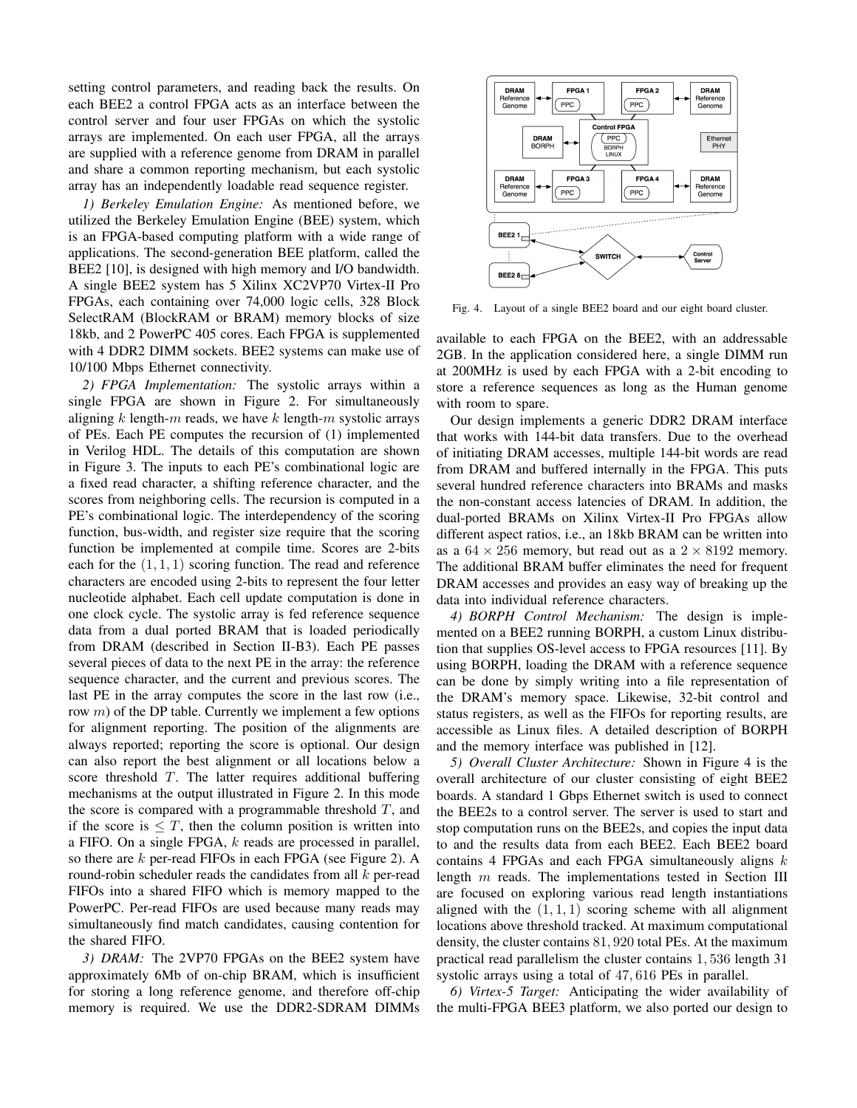setting control parameters, and reading back the results. On each BEE2 a control FPGA acts as an interface between the control server and four user FPGAs on which the systolic arrays are implemented. On each user FPGA, all the arrays are supplied with a reference genome from DRAM in parallel and share a common reporting mechanism, but each systolic array has an independently loadable read sequence register.

*1) Berkeley Emulation Engine:* As mentioned before, we utilized the Berkeley Emulation Engine (BEE) system, which is an FPGA-based computing platform with a wide range of applications. The second-generation BEE platform, called the BEE2 [10], is designed with high memory and I/O bandwidth. A single BEE2 system has 5 Xilinx XC2VP70 Virtex-II Pro FPGAs, each containing over 74,000 logic cells, 328 Block SelectRAM (BlockRAM or BRAM) memory blocks of size 18kb, and 2 PowerPC 405 cores. Each FPGA is supplemented with 4 DDR2 DIMM sockets. BEE2 systems can make use of 10/100 Mbps Ethernet connectivity.

*2) FPGA Implementation:* The systolic arrays within a single FPGA are shown in Figure 2. For simultaneously aligning k length-m reads, we have k length-m systolic arrays of PEs. Each PE computes the recursion of (1) implemented in Verilog HDL. The details of this computation are shown in Figure 3. The inputs to each PE's combinational logic are a fixed read character, a shifting reference character, and the scores from neighboring cells. The recursion is computed in a PE's combinational logic. The interdependency of the scoring function, bus-width, and register size require that the scoring function be implemented at compile time. Scores are 2-bits each for the  $(1, 1, 1)$  scoring function. The read and reference characters are encoded using 2-bits to represent the four letter nucleotide alphabet. Each cell update computation is done in one clock cycle. The systolic array is fed reference sequence data from a dual ported BRAM that is loaded periodically from DRAM (described in Section II-B3). Each PE passes several pieces of data to the next PE in the array: the reference sequence character, and the current and previous scores. The last PE in the array computes the score in the last row (i.e., row  $m$ ) of the DP table. Currently we implement a few options for alignment reporting. The position of the alignments are always reported; reporting the score is optional. Our design can also report the best alignment or all locations below a score threshold T. The latter requires additional buffering mechanisms at the output illustrated in Figure 2. In this mode the score is compared with a programmable threshold  $T$ , and if the score is  $\leq T$ , then the column position is written into a FIFO. On a single FPGA, k reads are processed in parallel, so there are  $k$  per-read FIFOs in each FPGA (see Figure 2). A round-robin scheduler reads the candidates from all  $k$  per-read FIFOs into a shared FIFO which is memory mapped to the PowerPC. Per-read FIFOs are used because many reads may simultaneously find match candidates, causing contention for the shared FIFO.

*3) DRAM:* The 2VP70 FPGAs on the BEE2 system have approximately 6Mb of on-chip BRAM, which is insufficient for storing a long reference genome, and therefore off-chip memory is required. We use the DDR2-SDRAM DIMMs



Fig. 4. Layout of a single BEE2 board and our eight board cluster.

available to each FPGA on the BEE2, with an addressable 2GB. In the application considered here, a single DIMM run at 200MHz is used by each FPGA with a 2-bit encoding to store a reference sequences as long as the Human genome with room to spare.

Our design implements a generic DDR2 DRAM interface that works with 144-bit data transfers. Due to the overhead of initiating DRAM accesses, multiple 144-bit words are read from DRAM and buffered internally in the FPGA. This puts several hundred reference characters into BRAMs and masks the non-constant access latencies of DRAM. In addition, the dual-ported BRAMs on Xilinx Virtex-II Pro FPGAs allow different aspect ratios, i.e., an 18kb BRAM can be written into as a  $64 \times 256$  memory, but read out as a  $2 \times 8192$  memory. The additional BRAM buffer eliminates the need for frequent DRAM accesses and provides an easy way of breaking up the data into individual reference characters.

*4) BORPH Control Mechanism:* The design is implemented on a BEE2 running BORPH, a custom Linux distribution that supplies OS-level access to FPGA resources [11]. By using BORPH, loading the DRAM with a reference sequence can be done by simply writing into a file representation of the DRAM's memory space. Likewise, 32-bit control and status registers, as well as the FIFOs for reporting results, are accessible as Linux files. A detailed description of BORPH and the memory interface was published in [12].

*5) Overall Cluster Architecture:* Shown in Figure 4 is the overall architecture of our cluster consisting of eight BEE2 boards. A standard 1 Gbps Ethernet switch is used to connect the BEE2s to a control server. The server is used to start and stop computation runs on the BEE2s, and copies the input data to and the results data from each BEE2. Each BEE2 board contains 4 FPGAs and each FPGA simultaneously aligns  $k$ length  $m$  reads. The implementations tested in Section III are focused on exploring various read length instantiations aligned with the  $(1, 1, 1)$  scoring scheme with all alignment locations above threshold tracked. At maximum computational density, the cluster contains 81, 920 total PEs. At the maximum practical read parallelism the cluster contains 1, 536 length 31 systolic arrays using a total of 47, 616 PEs in parallel.

*6) Virtex-5 Target:* Anticipating the wider availability of the multi-FPGA BEE3 platform, we also ported our design to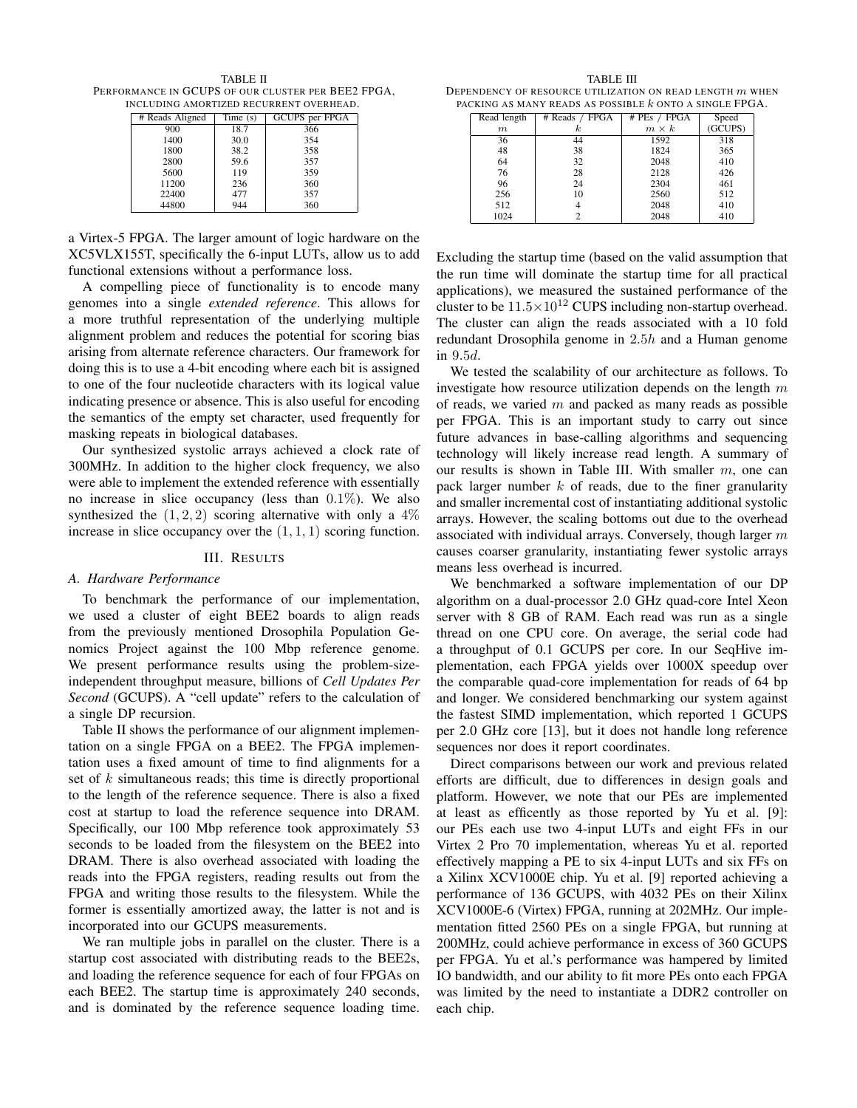TABLE II PERFORMANCE IN GCUPS OF OUR CLUSTER PER BEE2 FPGA, INCLUDING AMORTIZED RECURRENT OVERHEAD.

| # Reads Aligned | Time $(s)$ | GCUPS per FPGA |
|-----------------|------------|----------------|
| 900             | 18.7       | 366            |
| 1400            | 30.0       | 354            |
| 1800            | 38.2       | 358            |
| 2800            | 59.6       | 357            |
| 5600            | 119        | 359            |
| 11200           | 236        | 360            |
| 22400           | 477        | 357            |
| 44800           | 944        | 360            |

a Virtex-5 FPGA. The larger amount of logic hardware on the XC5VLX155T, specifically the 6-input LUTs, allow us to add functional extensions without a performance loss.

A compelling piece of functionality is to encode many genomes into a single *extended reference*. This allows for a more truthful representation of the underlying multiple alignment problem and reduces the potential for scoring bias arising from alternate reference characters. Our framework for doing this is to use a 4-bit encoding where each bit is assigned to one of the four nucleotide characters with its logical value indicating presence or absence. This is also useful for encoding the semantics of the empty set character, used frequently for masking repeats in biological databases.

Our synthesized systolic arrays achieved a clock rate of 300MHz. In addition to the higher clock frequency, we also were able to implement the extended reference with essentially no increase in slice occupancy (less than  $0.1\%$ ). We also synthesized the  $(1, 2, 2)$  scoring alternative with only a  $4\%$ increase in slice occupancy over the  $(1, 1, 1)$  scoring function.

# III. RESULTS

## *A. Hardware Performance*

To benchmark the performance of our implementation, we used a cluster of eight BEE2 boards to align reads from the previously mentioned Drosophila Population Genomics Project against the 100 Mbp reference genome. We present performance results using the problem-sizeindependent throughput measure, billions of *Cell Updates Per* Second (GCUPS). A "cell update" refers to the calculation of a single DP recursion.

Table II shows the performance of our alignment implementation on a single FPGA on a BEE2. The FPGA implementation uses a fixed amount of time to find alignments for a set of  $k$  simultaneous reads; this time is directly proportional to the length of the reference sequence. There is also a fixed cost at startup to load the reference sequence into DRAM. Specifically, our 100 Mbp reference took approximately 53 seconds to be loaded from the filesystem on the BEE2 into DRAM. There is also overhead associated with loading the reads into the FPGA registers, reading results out from the FPGA and writing those results to the filesystem. While the former is essentially amortized away, the latter is not and is incorporated into our GCUPS measurements.

We ran multiple jobs in parallel on the cluster. There is a startup cost associated with distributing reads to the BEE2s, and loading the reference sequence for each of four FPGAs on each BEE2. The startup time is approximately 240 seconds, and is dominated by the reference sequence loading time.

TABLE III DEPENDENCY OF RESOURCE UTILIZATION ON READ LENGTH  $m$  WHEN PACKING AS MANY READS AS POSSIBLE  $k$  onto a single FPGA.

| Read length | # Reads / FPGA | # PEs / FPGA | Speed   |
|-------------|----------------|--------------|---------|
| m           | κ              | $m \times k$ | (GCUPS) |
| 36          | 44             | 1592         | 318     |
| 48          | 38             | 1824         | 365     |
| 64          | 32             | 2048         | 410     |
| 76          | 28             | 2128         | 426     |
| 96          | 24             | 2304         | 461     |
| 256         | 10             | 2560         | 512     |
| 512         |                | 2048         | 410     |
| 1024        |                | 2048         | 410     |

Excluding the startup time (based on the valid assumption that the run time will dominate the startup time for all practical applications), we measured the sustained performance of the cluster to be  $11.5 \times 10^{12}$  CUPS including non-startup overhead. The cluster can align the reads associated with a 10 fold redundant Drosophila genome in 2.5h and a Human genome in 9.5d.

We tested the scalability of our architecture as follows. To investigate how resource utilization depends on the length  $m$ of reads, we varied  $m$  and packed as many reads as possible per FPGA. This is an important study to carry out since future advances in base-calling algorithms and sequencing technology will likely increase read length. A summary of our results is shown in Table III. With smaller  $m$ , one can pack larger number  $k$  of reads, due to the finer granularity and smaller incremental cost of instantiating additional systolic arrays. However, the scaling bottoms out due to the overhead associated with individual arrays. Conversely, though larger  $m$ causes coarser granularity, instantiating fewer systolic arrays means less overhead is incurred.

We benchmarked a software implementation of our DP algorithm on a dual-processor 2.0 GHz quad-core Intel Xeon server with 8 GB of RAM. Each read was run as a single thread on one CPU core. On average, the serial code had a throughput of 0.1 GCUPS per core. In our SeqHive implementation, each FPGA yields over 1000X speedup over the comparable quad-core implementation for reads of 64 bp and longer. We considered benchmarking our system against the fastest SIMD implementation, which reported 1 GCUPS per 2.0 GHz core [13], but it does not handle long reference sequences nor does it report coordinates.

Direct comparisons between our work and previous related efforts are difficult, due to differences in design goals and platform. However, we note that our PEs are implemented at least as efficently as those reported by Yu et al. [9]: our PEs each use two 4-input LUTs and eight FFs in our Virtex 2 Pro 70 implementation, whereas Yu et al. reported effectively mapping a PE to six 4-input LUTs and six FFs on a Xilinx XCV1000E chip. Yu et al. [9] reported achieving a performance of 136 GCUPS, with 4032 PEs on their Xilinx XCV1000E-6 (Virtex) FPGA, running at 202MHz. Our implementation fitted 2560 PEs on a single FPGA, but running at 200MHz, could achieve performance in excess of 360 GCUPS per FPGA. Yu et al.'s performance was hampered by limited IO bandwidth, and our ability to fit more PEs onto each FPGA was limited by the need to instantiate a DDR2 controller on each chip.